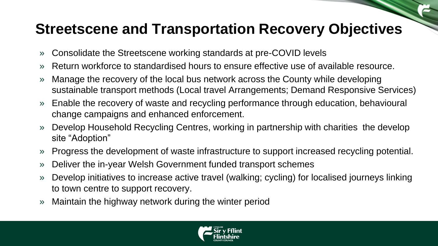## **Streetscene and Transportation Recovery Objectives**

- » Consolidate the Streetscene working standards at pre-COVID levels
- » Return workforce to standardised hours to ensure effective use of available resource.
- » Manage the recovery of the local bus network across the County while developing sustainable transport methods (Local travel Arrangements; Demand Responsive Services)
- » Enable the recovery of waste and recycling performance through education, behavioural change campaigns and enhanced enforcement.
- Develop Household Recycling Centres, working in partnership with charities the develop site "Adoption"
- » Progress the development of waste infrastructure to support increased recycling potential.
- » Deliver the in-year Welsh Government funded transport schemes
- » Develop initiatives to increase active travel (walking; cycling) for localised journeys linking to town centre to support recovery.
- » Maintain the highway network during the winter period

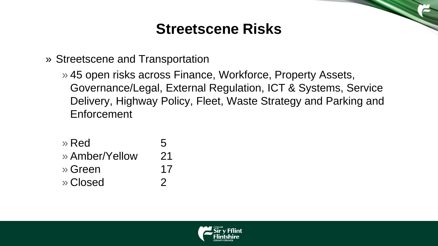## **Streetscene Risks**

» Streetscene and Transportation

» 45 open risks across Finance, Workforce, Property Assets, Governance/Legal, External Regulation, ICT & Systems, Service Delivery, Highway Policy, Fleet, Waste Strategy and Parking and Enforcement

| » Red          | 5             |
|----------------|---------------|
| » Amber/Yellow | 21            |
| » Green        | 17            |
| » Closed       | $\mathcal{P}$ |

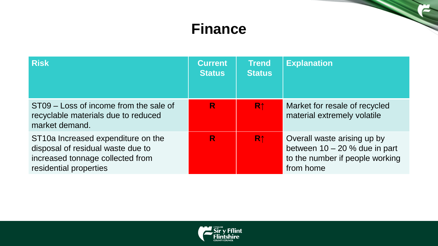## **Finance**

| <b>Risk</b>                                                                                                                                      | <b>Current</b><br><b>Status</b> | <b>Trend</b><br><b>Status</b> | <b>Explanation</b>                                                                                             |
|--------------------------------------------------------------------------------------------------------------------------------------------------|---------------------------------|-------------------------------|----------------------------------------------------------------------------------------------------------------|
| ST09 – Loss of income from the sale of<br>recyclable materials due to reduced<br>market demand.                                                  | R                               | R <sub>↑</sub>                | Market for resale of recycled<br>material extremely volatile                                                   |
| ST <sub>10</sub> Increased expenditure on the<br>disposal of residual waste due to<br>increased tonnage collected from<br>residential properties | R                               | R <sub>1</sub>                | Overall waste arising up by<br>between $10 - 20$ % due in part<br>to the number if people working<br>from home |